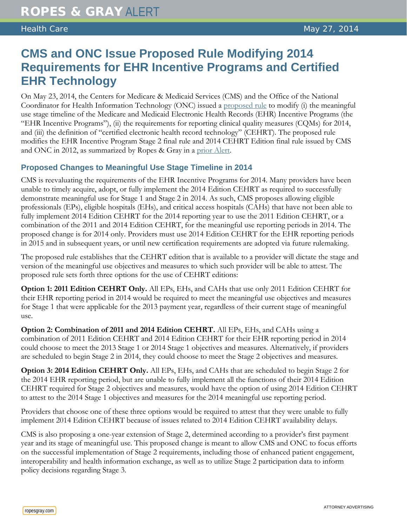## **CMS and ONC Issue Proposed Rule Modifying 2014 Requirements for EHR Incentive Programs and Certified EHR Technology**

On May 23, 2014, the Centers for Medicare & Medicaid Services (CMS) and the Office of the National Coordinator for Health Information Technology (ONC) issued a [proposed rule](http://www.gpo.gov/fdsys/pkg/FR-2014-05-23/pdf/2014-11944.pdf) to modify (i) the meaningful use stage timeline of the Medicare and Medicaid Electronic Health Records (EHR) Incentive Programs (the "EHR Incentive Programs"), (ii) the requirements for reporting clinical quality measures (CQMs) for 2014, and (iii) the definition of "certified electronic health record technology" (CEHRT). The proposed rule modifies the EHR Incentive Program Stage 2 final rule and 2014 CEHRT Edition final rule issued by CMS and ONC in 2012, as summarized by Ropes & Gray in a [prior Alert.](http://www.ropesgray.com/news-and-insights/Insights/2012/09/cms-issues-final-rules-on-ehr-stage-2-criteria-and-icd-10-codes-onc-issues-final-rule-on-ehr-certification-process.aspx)

## **Proposed Changes to Meaningful Use Stage Timeline in 2014**

CMS is reevaluating the requirements of the EHR Incentive Programs for 2014. Many providers have been unable to timely acquire, adopt, or fully implement the 2014 Edition CEHRT as required to successfully demonstrate meaningful use for Stage 1 and Stage 2 in 2014. As such, CMS proposes allowing eligible professionals (EPs), eligible hospitals (EHs), and critical access hospitals (CAHs) that have not been able to fully implement 2014 Edition CEHRT for the 2014 reporting year to use the 2011 Edition CEHRT, or a combination of the 2011 and 2014 Edition CEHRT, for the meaningful use reporting periods in 2014. The proposed change is for 2014 only. Providers must use 2014 Edition CEHRT for the EHR reporting periods in 2015 and in subsequent years, or until new certification requirements are adopted via future rulemaking.

The proposed rule establishes that the CEHRT edition that is available to a provider will dictate the stage and version of the meaningful use objectives and measures to which such provider will be able to attest. The proposed rule sets forth three options for the use of CEHRT editions:

**Option 1: 2011 Edition CEHRT Only.** All EPs, EHs, and CAHs that use only 2011 Edition CEHRT for their EHR reporting period in 2014 would be required to meet the meaningful use objectives and measures for Stage 1 that were applicable for the 2013 payment year, regardless of their current stage of meaningful use.

**Option 2: Combination of 2011 and 2014 Edition CEHRT.** All EPs, EHs, and CAHs using a combination of 2011 Edition CEHRT and 2014 Edition CEHRT for their EHR reporting period in 2014 could choose to meet the 2013 Stage 1 or 2014 Stage 1 objectives and measures. Alternatively, if providers are scheduled to begin Stage 2 in 2014, they could choose to meet the Stage 2 objectives and measures.

**Option 3: 2014 Edition CEHRT Only.** All EPs, EHs, and CAHs that are scheduled to begin Stage 2 for the 2014 EHR reporting period, but are unable to fully implement all the functions of their 2014 Edition CEHRT required for Stage 2 objectives and measures, would have the option of using 2014 Edition CEHRT to attest to the 2014 Stage 1 objectives and measures for the 2014 meaningful use reporting period.

Providers that choose one of these three options would be required to attest that they were unable to fully implement 2014 Edition CEHRT because of issues related to 2014 Edition CEHRT availability delays.

CMS is also proposing a one-year extension of Stage 2, determined according to a provider's first payment year and its stage of meaningful use. This proposed change is meant to allow CMS and ONC to focus efforts on the successful implementation of Stage 2 requirements, including those of enhanced patient engagement, interoperability and health information exchange, as well as to utilize Stage 2 participation data to inform policy decisions regarding Stage 3.